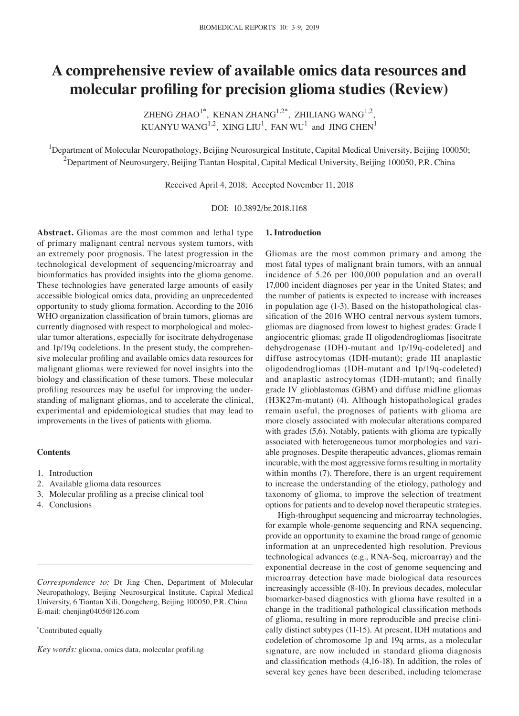# **A comprehensive review of available omics data resources and molecular profiling for precision glioma studies (Review)**

ZHENG ZHAO<sup>1\*</sup>, KENAN ZHANG<sup>1,2\*</sup>, ZHILIANG WANG<sup>1,2</sup>, KUANYU WANG<sup>1,2</sup>, XING LIU<sup>1</sup>, FAN WU<sup>1</sup> and JING CHEN<sup>1</sup>

<sup>1</sup>Department of Molecular Neuropathology, Beijing Neurosurgical Institute, Capital Medical University, Beijing 100050;  $^2$ Department of Neurosurgery, Beijing Tiantan Hospital, Capital Medical University, Beijing 100050, P.R. China

Received April 4, 2018; Accepted November 11, 2018

DOI: 10.3892/br.2018.1168

**Abstract.** Gliomas are the most common and lethal type of primary malignant central nervous system tumors, with an extremely poor prognosis. The latest progression in the technological development of sequencing/microarray and bioinformatics has provided insights into the glioma genome. These technologies have generated large amounts of easily accessible biological omics data, providing an unprecedented opportunity to study glioma formation. According to the 2016 WHO organization classification of brain tumors, gliomas are currently diagnosed with respect to morphological and molecular tumor alterations, especially for isocitrate dehydrogenase and 1p/19q codeletions. In the present study, the comprehensive molecular profiling and available omics data resources for malignant gliomas were reviewed for novel insights into the biology and classification of these tumors. These molecular profiling resources may be useful for improving the understanding of malignant gliomas, and to accelerate the clinical, experimental and epidemiological studies that may lead to improvements in the lives of patients with glioma.

## **Contents**

- 1. Introduction
- 2. Available glioma data resources
- 3. Molecular profiling as a precise clinical tool
- 4. Conclusions

*Correspondence to:* Dr Jing Chen, Department of Molecular Neuropathology, Beijing Neurosurgical Institute, Capital Medical University, 6 Tiantan Xili, Dongcheng, Beijing 100050, P.R. China E-mail: chenjing0405@126.com

#### \* Contributed equally

*Key words:* glioma, omics data, molecular profiling

# **1. Introduction**

Gliomas are the most common primary and among the most fatal types of malignant brain tumors, with an annual incidence of 5.26 per 100,000 population and an overall 17,000 incident diagnoses per year in the United States; and the number of patients is expected to increase with increases in population age (1-3). Based on the histopathological classification of the 2016 WHO central nervous system tumors, gliomas are diagnosed from lowest to highest grades: Grade I angiocentric gliomas; grade II oligodendrogliomas [isocitrate dehydrogenase (IDH)-mutant and 1p/19q-codeleted] and diffuse astrocytomas (IDH-mutant); grade III anaplastic oligodendrogliomas (IDH-mutant and 1p/19q-codeleted) and anaplastic astrocytomas (IDH-mutant); and finally grade IV glioblastomas (GBM) and diffuse midline gliomas (H3K27m-mutant) (4). Although histopathological grades remain useful, the prognoses of patients with glioma are more closely associated with molecular alterations compared with grades  $(5,6)$ . Notably, patients with glioma are typically associated with heterogeneous tumor morphologies and variable prognoses. Despite therapeutic advances, gliomas remain incurable, with the most aggressive forms resulting in mortality within months (7). Therefore, there is an urgent requirement to increase the understanding of the etiology, pathology and taxonomy of glioma, to improve the selection of treatment options for patients and to develop novel therapeutic strategies.

High-throughput sequencing and microarray technologies, for example whole-genome sequencing and RNA sequencing, provide an opportunity to examine the broad range of genomic information at an unprecedented high resolution. Previous technological advances (e.g., RNA-Seq, microarray) and the exponential decrease in the cost of genome sequencing and microarray detection have made biological data resources increasingly accessible (8-10). In previous decades, molecular biomarker-based diagnostics with glioma have resulted in a change in the traditional pathological classification methods of glioma, resulting in more reproducible and precise clinically distinct subtypes (11-15). At present, IDH mutations and codeletion of chromosome 1p and 19q arms, as a molecular signature, are now included in standard glioma diagnosis and classification methods (4,16‑18). In addition, the roles of several key genes have been described, including telomerase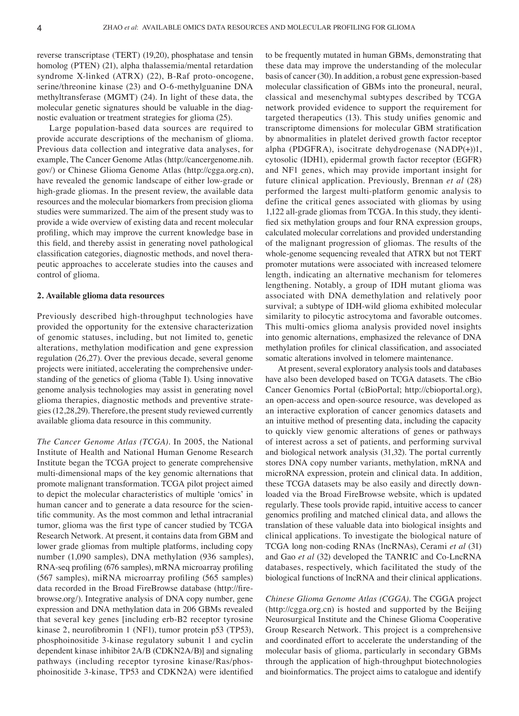reverse transcriptase (TERT) (19,20), phosphatase and tensin homolog (PTEN) (21), alpha thalassemia/mental retardation syndrome X-linked (ATRX) (22), B-Raf proto-oncogene, serine/threonine kinase (23) and O-6-methylguanine DNA methyltransferase (MGMT) (24). In light of these data, the molecular genetic signatures should be valuable in the diagnostic evaluation or treatment strategies for glioma (25).

Large population-based data sources are required to provide accurate descriptions of the mechanism of glioma. Previous data collection and integrative data analyses, for example, The Cancer Genome Atlas (http://cancergenome.nih. gov/) or Chinese Glioma Genome Atlas (http://cgga.org.cn), have revealed the genomic landscape of either low-grade or high-grade gliomas. In the present review, the available data resources and the molecular biomarkers from precision glioma studies were summarized. The aim of the present study was to provide a wide overview of existing data and recent molecular profiling, which may improve the current knowledge base in this field, and thereby assist in generating novel pathological classification categories, diagnostic methods, and novel therapeutic approaches to accelerate studies into the causes and control of glioma.

# **2. Available glioma data resources**

Previously described high-throughput technologies have provided the opportunity for the extensive characterization of genomic statuses, including, but not limited to, genetic alterations, methylation modification and gene expression regulation (26,27). Over the previous decade, several genome projects were initiated, accelerating the comprehensive understanding of the genetics of glioma (Table I). Using innovative genome analysis technologies may assist in generating novel glioma therapies, diagnostic methods and preventive strategies(12,28,29). Therefore, the present study reviewed currently available glioma data resource in this community.

*The Cancer Genome Atlas (TCGA).* In 2005, the National Institute of Health and National Human Genome Research Institute began the TCGA project to generate comprehensive multi-dimensional maps of the key genomic alternations that promote malignant transformation. TCGA pilot project aimed to depict the molecular characteristics of multiple 'omics' in human cancer and to generate a data resource for the scientific community. As the most common and lethal intracranial tumor, glioma was the first type of cancer studied by TCGA Research Network. At present, it contains data from GBM and lower grade gliomas from multiple platforms, including copy number (1,090 samples), DNA methylation (936 samples), RNA‑seq profiling (676 samples), mRNA microarray profiling (567 samples), miRNA microarray profiling (565 samples) data recorded in the Broad FireBrowse database (http://firebrowse.org/). Integrative analysis of DNA copy number, gene expression and DNA methylation data in 206 GBMs revealed that several key genes [including erb-B2 receptor tyrosine kinase 2, neurofibromin 1 (NF1), tumor protein p53 (TP53), phosphoinositide 3-kinase regulatory subunit 1 and cyclin dependent kinase inhibitor 2A/B (CDKN2A/B)] and signaling pathways (including receptor tyrosine kinase/Ras/phosphoinositide 3‑kinase, TP53 and CDKN2A) were identified to be frequently mutated in human GBMs, demonstrating that these data may improve the understanding of the molecular basis of cancer (30). In addition, a robust gene expression-based molecular classification of GBMs into the proneural, neural, classical and mesenchymal subtypes described by TCGA network provided evidence to support the requirement for targeted therapeutics (13). This study unifies genomic and transcriptome dimensions for molecular GBM stratification by abnormalities in platelet derived growth factor receptor alpha (PDGFRA), isocitrate dehydrogenase (NADP(+))1, cytosolic (IDH1), epidermal growth factor receptor (EGFR) and NF1 genes, which may provide important insight for future clinical application. Previously, Brennan *et al* (28) performed the largest multi-platform genomic analysis to define the critical genes associated with gliomas by using 1,122 all-grade gliomas from TCGA. In this study, they identified six methylation groups and four RNA expression groups, calculated molecular correlations and provided understanding of the malignant progression of gliomas. The results of the whole-genome sequencing revealed that ATRX but not TERT promoter mutations were associated with increased telomere length, indicating an alternative mechanism for telomeres lengthening. Notably, a group of IDH mutant glioma was associated with DNA demethylation and relatively poor survival; a subtype of IDH-wild glioma exhibited molecular similarity to pilocytic astrocytoma and favorable outcomes. This multi-omics glioma analysis provided novel insights into genomic alternations, emphasized the relevance of DNA methylation profiles for clinical classification, and associated somatic alterations involved in telomere maintenance.

At present, several exploratory analysis tools and databases have also been developed based on TCGA datasets. The cBio Cancer Genomics Portal (cBioPortal; http://cbioportal.org), an open-access and open-source resource, was developed as an interactive exploration of cancer genomics datasets and an intuitive method of presenting data, including the capacity to quickly view genomic alterations of genes or pathways of interest across a set of patients, and performing survival and biological network analysis (31,32). The portal currently stores DNA copy number variants, methylation, mRNA and microRNA expression, protein and clinical data. In addition, these TCGA datasets may be also easily and directly downloaded via the Broad FireBrowse website, which is updated regularly. These tools provide rapid, intuitive access to cancer genomics profiling and matched clinical data, and allows the translation of these valuable data into biological insights and clinical applications. To investigate the biological nature of TCGA long non-coding RNAs (lncRNAs), Cerami *et al* (31) and Gao *et al* (32) developed the TANRIC and Co-LncRNA databases, respectively, which facilitated the study of the biological functions of lncRNA and their clinical applications.

*Chinese Glioma Genome Atlas (CGGA).* The CGGA project (http://cgga.org.cn) is hosted and supported by the Beijing Neurosurgical Institute and the Chinese Glioma Cooperative Group Research Network. This project is a comprehensive and coordinated effort to accelerate the understanding of the molecular basis of glioma, particularly in secondary GBMs through the application of high-throughput biotechnologies and bioinformatics. The project aims to catalogue and identify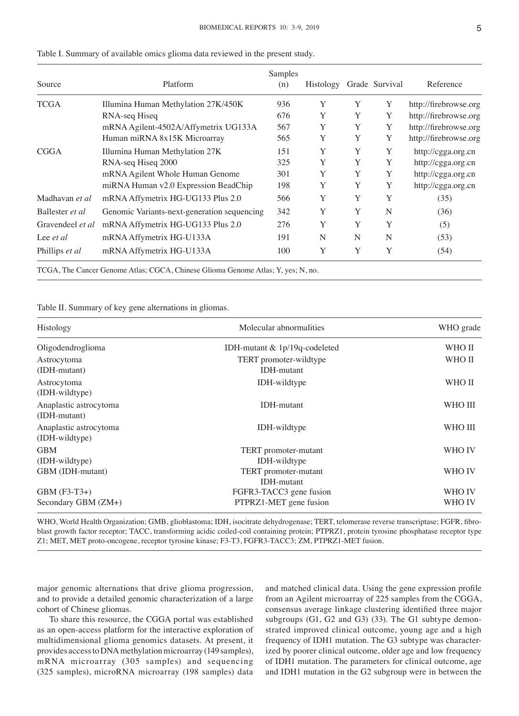| Source           | Platform                                    | Samples<br>(n) | Histology |   | Grade Survival | Reference             |
|------------------|---------------------------------------------|----------------|-----------|---|----------------|-----------------------|
| TCGA             | Illumina Human Methylation 27K/450K         | 936            | Y         | Y | Y              | http://firebrowse.org |
|                  | RNA-seq Hiseq                               | 676            | Y         | Y | Y              | http://firebrowse.org |
|                  | mRNA Agilent-4502A/Affymetrix UG133A        | 567            | Y         | Y | Y              | http://firebrowse.org |
|                  | Human miRNA 8x15K Microarray                | 565            | Y         | Y | Y              | http://firebrowse.org |
| CGGA             | Illumina Human Methylation 27K              | 151            | Y         | Y | Y              | http://cgga.org.cn    |
|                  | RNA-seq Hiseq 2000                          | 325            | Y         | Y | Y              | http://cgga.org.cn    |
|                  | mRNA Agilent Whole Human Genome             | 301            | Y         | Y | Y              | http://cgga.org.cn    |
|                  | miRNA Human v2.0 Expression BeadChip        | 198            | Y         | Y | Y              | http://cgga.org.cn    |
| Madhavan et al   | mRNA Affymetrix HG-UG133 Plus 2.0           | 566            | Y         | Y | Y              | (35)                  |
| Ballester et al  | Genomic Variants-next-generation sequencing | 342            | Y         | Y | N              | (36)                  |
| Gravendeel et al | mRNA Affymetrix HG-UG133 Plus 2.0           | 276            | Y         | Y | Y              | (5)                   |
| Lee <i>et al</i> | mRNA Affymetrix HG-U133A                    | 191            | N         | N | N              | (53)                  |
| Phillips et al   | mRNA Affymetrix HG-U133A                    | 100            | Y         | Y | Y              | (54)                  |

Table I. Summary of available omics glioma data reviewed in the present study.

TCGA, The Cancer Genome Atlas; CGCA, Chinese Glioma Genome Atlas; Y, yes; N, no.

Table II. Summary of key gene alternations in gliomas.

| Histology                                | Molecular abnormalities                           | WHO grade        |
|------------------------------------------|---------------------------------------------------|------------------|
| Oligodendroglioma                        | IDH-mutant & 1p/19q-codeleted                     | WHO II           |
| Astrocytoma<br>(IDH-mutant)              | TERT promoter-wildtype<br><b>IDH-mutant</b>       | WHO II           |
| Astrocytoma<br>(IDH-wildtype)            | <b>IDH-wildtype</b>                               | WHO II           |
| Anaplastic astrocytoma<br>(IDH-mutant)   | <b>IDH-mutant</b>                                 | WHO III          |
| Anaplastic astrocytoma<br>(IDH-wildtype) | IDH-wildtype                                      | WHO III          |
| <b>GBM</b><br>(IDH-wildtype)             | TERT promoter-mutant<br>IDH-wildtype              | WHO IV           |
| GBM (IDH-mutant)                         | TERT promoter-mutant<br><b>IDH-mutant</b>         | WHO IV           |
| GBM (F3-T3+)<br>Secondary GBM (ZM+)      | FGFR3-TACC3 gene fusion<br>PTPRZ1-MET gene fusion | WHO IV<br>WHO IV |

WHO, World Health Organization; GMB, glioblastoma; IDH, isocitrate dehydrogenase; TERT, telomerase reverse transcriptase; FGFR, fibroblast growth factor receptor; TACC, transforming acidic coiled-coil containing protein; PTPRZ1, protein tyrosine phosphatase receptor type Z1; MET, MET proto-oncogene, receptor tyrosine kinase; F3-T3, FGFR3-TACC3; ZM, PTPRZ1-MET fusion.

major genomic alternations that drive glioma progression, and to provide a detailed genomic characterization of a large cohort of Chinese gliomas.

To share this resource, the CGGA portal was established as an open-access platform for the interactive exploration of multidimensional glioma genomics datasets. At present, it provides access to DNA methylation microarray (149 samples), mRNA microarray (305 samples) and sequencing (325 samples), microRNA microarray (198 samples) data and matched clinical data. Using the gene expression profile from an Agilent microarray of 225 samples from the CGGA, consensus average linkage clustering identified three major subgroups (G1, G2 and G3) (33). The G1 subtype demonstrated improved clinical outcome, young age and a high frequency of IDH1 mutation. The G3 subtype was characterized by poorer clinical outcome, older age and low frequency of IDH1 mutation. The parameters for clinical outcome, age and IDH1 mutation in the G2 subgroup were in between the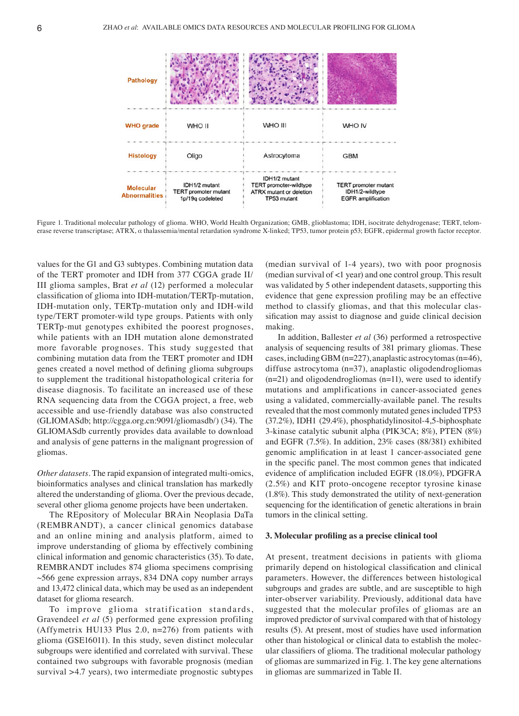

Figure 1. Traditional molecular pathology of glioma. WHO, World Health Organization; GMB, glioblastoma; IDH, isocitrate dehydrogenase; TERT, telomerase reverse transcriptase; ATRX, α thalassemia/mental retardation syndrome X-linked; TP53, tumor protein p53; EGFR, epidermal growth factor receptor.

values for the G1 and G3 subtypes. Combining mutation data of the TERT promoter and IDH from 377 CGGA grade II/ III glioma samples, Brat *et al* (12) performed a molecular classification of glioma into IDH‑mutation/TERTp-mutation, IDH-mutation only, TERTp-mutation only and IDH-wild type/TERT promoter-wild type groups. Patients with only TERTp-mut genotypes exhibited the poorest prognoses, while patients with an IDH mutation alone demonstrated more favorable prognoses. This study suggested that combining mutation data from the TERT promoter and IDH genes created a novel method of defining glioma subgroups to supplement the traditional histopathological criteria for disease diagnosis. To facilitate an increased use of these RNA sequencing data from the CGGA project, a free, web accessible and use-friendly database was also constructed (GLIOMASdb; http://cgga.org.cn:9091/gliomasdb/) (34). The GLIOMASdb currently provides data available to download and analysis of gene patterns in the malignant progression of gliomas.

*Other datasets.* The rapid expansion of integrated multi-omics, bioinformatics analyses and clinical translation has markedly altered the understanding of glioma. Over the previous decade, several other glioma genome projects have been undertaken.

The REpository of Molecular BRAin Neoplasia DaTa (REMBRANDT), a cancer clinical genomics database and an online mining and analysis platform, aimed to improve understanding of glioma by effectively combining clinical information and genomic characteristics (35). To date, REMBRANDT includes 874 glioma specimens comprising ~566 gene expression arrays, 834 DNA copy number arrays and 13,472 clinical data, which may be used as an independent dataset for glioma research.

To improve glioma stratification standards, Gravendeel *et al* (5) performed gene expression profiling (Affymetrix HU133 Plus 2.0, n=276) from patients with glioma (GSE16011). In this study, seven distinct molecular subgroups were identified and correlated with survival. These contained two subgroups with favorable prognosis (median survival >4.7 years), two intermediate prognostic subtypes

(median survival of 1-4 years), two with poor prognosis (median survival of <1 year) and one control group. This result was validated by 5 other independent datasets, supporting this evidence that gene expression profiling may be an effective method to classify gliomas, and that this molecular classification may assist to diagnose and guide clinical decision making.

In addition, Ballester *et al* (36) performed a retrospective analysis of sequencing results of 381 primary gliomas. These cases, including GBM (n=227), anaplastic astrocytomas (n=46), diffuse astrocytoma (n=37), anaplastic oligodendrogliomas  $(n=21)$  and oligodendrogliomas  $(n=11)$ , were used to identify mutations and amplifications in cancer-associated genes using a validated, commercially-available panel. The results revealed that the most commonly mutated genes included TP53 (37.2%), IDH1 (29.4%), phosphatidylinositol-4,5-biphosphate 3-kinase catalytic subunit alpha (PIK3CA; 8%), PTEN (8%) and EGFR (7.5%). In addition, 23% cases (88/381) exhibited genomic amplification in at least 1 cancer-associated gene in the specific panel. The most common genes that indicated evidence of amplification included EGFR (18.0%), PDGFRA (2.5%) and KIT proto-oncogene receptor tyrosine kinase (1.8%). This study demonstrated the utility of next-generation sequencing for the identification of genetic alterations in brain tumors in the clinical setting.

#### **3. Molecular profiling as a precise clinical tool**

At present, treatment decisions in patients with glioma primarily depend on histological classification and clinical parameters. However, the differences between histological subgroups and grades are subtle, and are susceptible to high inter-observer variability. Previously, additional data have suggested that the molecular profiles of gliomas are an improved predictor of survival compared with that of histology results (5). At present, most of studies have used information other than histological or clinical data to establish the molecular classifiers of glioma. The traditional molecular pathology of gliomas are summarized in Fig. 1. The key gene alternations in gliomas are summarized in Table II.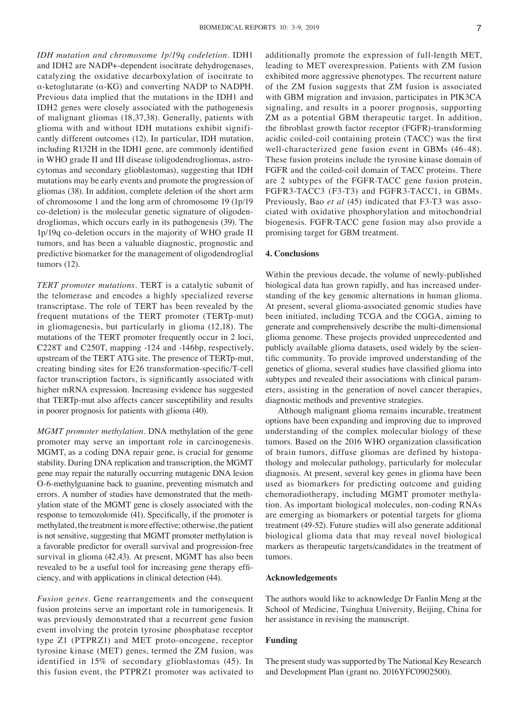*IDH mutation and chromosome 1p/19q codeletion.* IDH1 and IDH2 are NADP+-dependent isocitrate dehydrogenases, catalyzing the oxidative decarboxylation of isocitrate to α-ketoglutarate (α-KG) and converting NADP to NADPH. Previous data implied that the mutations in the IDH1 and IDH2 genes were closely associated with the pathogenesis of malignant gliomas (18,37,38). Generally, patients with glioma with and without IDH mutations exhibit significantly different outcomes (12). In particular, IDH mutation, including R132H in the IDH1 gene, are commonly identified in WHO grade II and III disease (oligodendrogliomas, astrocytomas and secondary glioblastomas), suggesting that IDH mutations may be early events and promote the progression of gliomas (38). In addition, complete deletion of the short arm of chromosome 1 and the long arm of chromosome 19 (1p/19 co-deletion) is the molecular genetic signature of oligodendrogliomas, which occurs early in its pathogenesis (39). The 1p/19q co-deletion occurs in the majority of WHO grade II tumors, and has been a valuable diagnostic, prognostic and predictive biomarker for the management of oligodendroglial tumors (12).

*TERT promoter mutations.* TERT is a catalytic subunit of the telomerase and encodes a highly specialized reverse transcriptase. The role of TERT has been revealed by the frequent mutations of the TERT promoter (TERTp-mut) in gliomagenesis, but particularly in glioma (12,18). The mutations of the TERT promoter frequently occur in 2 loci, C228T and C250T, mapping -124 and -146bp, respectively, upstream of the TERT ATG site. The presence of TERTp-mut, creating binding sites for E26 transformation‑specific/T‑cell factor transcription factors, is significantly associated with higher mRNA expression. Increasing evidence has suggested that TERTp-mut also affects cancer susceptibility and results in poorer prognosis for patients with glioma (40).

*MGMT promoter methylation.* DNA methylation of the gene promoter may serve an important role in carcinogenesis. MGMT, as a coding DNA repair gene, is crucial for genome stability. During DNA replication and transcription, the MGMT gene may repair the naturally occurring mutagenic DNA lesion O-6-methylguanine back to guanine, preventing mismatch and errors. A number of studies have demonstrated that the methylation state of the MGMT gene is closely associated with the response to temozolomide (41). Specifically, if the promoter is methylated, the treatment is more effective; otherwise, the patient is not sensitive, suggesting that MGMT promoter methylation is a favorable predictor for overall survival and progression-free survival in glioma (42,43). At present, MGMT has also been revealed to be a useful tool for increasing gene therapy efficiency, and with applications in clinical detection (44).

*Fusion genes.* Gene rearrangements and the consequent fusion proteins serve an important role in tumorigenesis. It was previously demonstrated that a recurrent gene fusion event involving the protein tyrosine phosphatase receptor type Z1 (PTPRZ1) and MET proto-oncogene, receptor tyrosine kinase (MET) genes, termed the ZM fusion, was identified in 15% of secondary glioblastomas (45). In this fusion event, the PTPRZ1 promoter was activated to additionally promote the expression of full-length MET, leading to MET overexpression. Patients with ZM fusion exhibited more aggressive phenotypes. The recurrent nature of the ZM fusion suggests that ZM fusion is associated with GBM migration and invasion, participates in PIK3CA signaling, and results in a poorer prognosis, supporting ZM as a potential GBM therapeutic target. In addition, the fibroblast growth factor receptor (FGFR)‑transforming acidic coiled‑coil containing protein (TACC) was the first well-characterized gene fusion event in GBMs (46-48). These fusion proteins include the tyrosine kinase domain of FGFR and the coiled-coil domain of TACC proteins. There are 2 subtypes of the FGFR-TACC gene fusion protein, FGFR3-TACC3 (F3-T3) and FGFR3-TACC1, in GBMs. Previously, Bao *et al* (45) indicated that F3-T3 was associated with oxidative phosphorylation and mitochondrial biogenesis. FGFR-TACC gene fusion may also provide a promising target for GBM treatment.

# **4. Conclusions**

Within the previous decade, the volume of newly-published biological data has grown rapidly, and has increased understanding of the key genomic alternations in human glioma. At present, several glioma-associated genomic studies have been initiated, including TCGA and the CGGA, aiming to generate and comprehensively describe the multi-dimensional glioma genome. These projects provided unprecedented and publicly available glioma datasets, used widely by the scientific community. To provide improved understanding of the genetics of glioma, several studies have classified glioma into subtypes and revealed their associations with clinical parameters, assisting in the generation of novel cancer therapies, diagnostic methods and preventive strategies.

Although malignant glioma remains incurable, treatment options have been expanding and improving due to improved understanding of the complex molecular biology of these tumors. Based on the 2016 WHO organization classification of brain tumors, diffuse gliomas are defined by histopathology and molecular pathology, particularly for molecular diagnosis. At present, several key genes in glioma have been used as biomarkers for predicting outcome and guiding chemoradiotherapy, including MGMT promoter methylation. As important biological molecules, non-coding RNAs are emerging as biomarkers or potential targets for glioma treatment (49-52). Future studies will also generate additional biological glioma data that may reveal novel biological markers as therapeutic targets/candidates in the treatment of tumors.

### **Acknowledgements**

The authors would like to acknowledge Dr Fanlin Meng at the School of Medicine, Tsinghua University, Beijing, China for her assistance in revising the manuscript.

### **Funding**

The present study was supported by The National Key Research and Development Plan (grant no. 2016YFC0902500).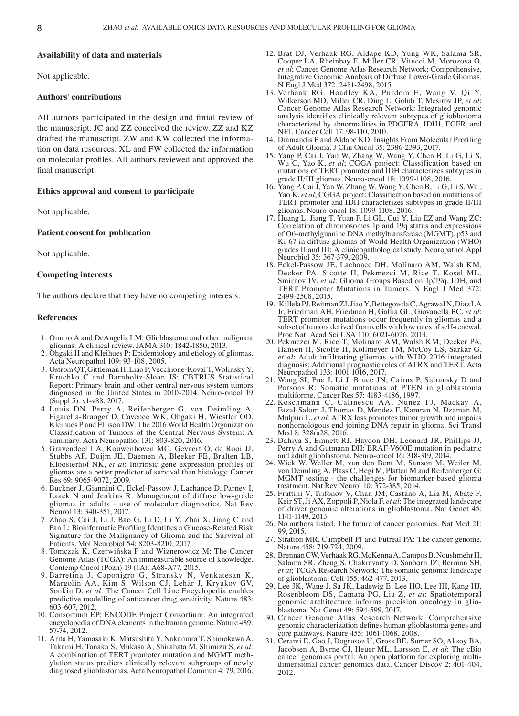#### **Availability of data and materials**

Not applicable.

#### **Authors' contributions**

All authors participated in the design and finial review of the manuscript. JC and ZZ conceived the review. ZZ and KZ drafted the manuscript. ZW and KW collected the information on data resources. XL and FW collected the information on molecular profiles. All authors reviewed and approved the final manuscript.

#### **Ethics approval and consent to participate**

Not applicable.

## **Patient consent for publication**

Not applicable.

## **Competing interests**

The authors declare that they have no competing interests.

# **References**

- 1. Omuro A and DeAngelis LM: Glioblastoma and other malignant gliomas: A clinical review. JAMA 310: 1842-1850, 2013.
- 2. Ohgaki H and Kleihues P: Epidemiology and etiology of gliomas. Acta Neuropathol 109: 93-108, 2005.
- 3. Ostrom QT, Gittleman H, Liao P, Vecchione-Koval T, Wolinsky Y, Kruchko C and Barnholtz-Sloan JS: CBTRUS Statistical Report: Primary brain and other central nervous system tumors diagnosed in the United States in 2010-2014. Neuro-oncol 19 (Suppl 5): v1-v88, 2017.
- 4. Louis DN, Perry A, Reifenberger G, von Deimling A, Figarella-Branger D, Cavenee WK, Ohgaki H, Wiestler OD, Kleihues P and Ellison DW: The 2016 World Health Organization Classification of Tumors of the Central Nervous System: A summary. Acta Neuropathol 131: 803-820, 2016.
- 5. Gravendeel LA, Kouwenhoven MC, Gevaert O, de Rooi JJ, Stubbs AP, Duijm JE, Daemen A, Bleeker FE, Bralten LB, Kloosterhof NK, *et al*: Intrinsic gene expression profiles of gliomas are a better predictor of survival than histology. Cancer Res 69: 9065-9072, 2009.
- 6. Buckner J, Giannini C, Eckel-Passow J, Lachance D, Parney I, Laack N and Jenkins R: Management of diffuse low-grade gliomas in adults - use of molecular diagnostics. Nat Rev Neurol 13: 340-351, 2017.
- 7. Zhao S, Cai J, Li J, Bao G, Li D, Li Y, Zhai X, Jiang C and Fan L: Bioinformatic Profiling Identifies a Glucose-Related Risk Signature for the Malignancy of Glioma and the Survival of Patients. Mol Neurobiol 54: 8203-8210, 2017.
- 8. Tomczak K, Czerwińska P and Wiznerowicz M: The Cancer Genome Atlas (TCGA): An immeasurable source of knowledge. Contemp Oncol (Pozn) 19 (1A): A68-A77, 2015.
- 9. Barretina J, Caponigro G, Stransky N, Venkatesan K, Margolin AA, Kim S, Wilson CJ, Lehár J, Kryukov GV, Sonkin D, *et al*: The Cancer Cell Line Encyclopedia enables predictive modelling of anticancer drug sensitivity. Nature 483: 603-607, 2012.
- 10. Consortium EP; ENCODE Project Consortium: An integrated encyclopedia of DNA elements in the human genome. Nature 489: 57-74, 2012.
- 11. Arita H, Yamasaki K, Matsushita Y, Nakamura T, Shimokawa A, Takami H, Tanaka S, Mukasa A, Shirahata M, Shimizu S, *et al*: A combination of TERT promoter mutation and MGMT methylation status predicts clinically relevant subgroups of newly diagnosed glioblastomas. Acta Neuropathol Commun 4: 79, 2016.
- 12. Brat DJ, Verhaak RG, Aldape KD, Yung WK, Salama SR, Cooper LA, Rheinbay E, Miller CR, Vitucci M, Morozova O, *et al*; Cancer Genome Atlas Research Network: Comprehensive, Integrative Genomic Analysis of Diffuse Lower-Grade Gliomas. N Engl J Med 372: 2481-2498, 2015.
- 13. Verhaak RG, Hoadley KA, Purdom E, Wang V, Qi Y, Wilkerson MD, Miller CR, Ding L, Golub T, Mesirov JP, *et al*; Cancer Genome Atlas Research Network: Integrated genomic analysis identifies clinically relevant subtypes of glioblastoma characterized by abnormalities in PDGFRA, IDH1, EGFR, and NF1. Cancer Cell 17: 98-110, 2010.
- 14. Diamandis P and Aldape KD: Insights From Molecular Profiling of Adult Glioma. J Clin Oncol 35: 2386-2393, 2017.
- 15. Yang P, Cai J, Yan W, Zhang W, Wang Y, Chen B, Li G, Li S, Wu C, Yao K, *et al*; CGGA project: Classification based on mutations of TERT promoter and IDH characterizes subtypes in grade II/III gliomas. Neuro-oncol 18: 1099-1108, 2016.
- 16. Yang P, Cai J, Yan W, Zhang W, Wang Y, Chen B, Li G, Li S, Wu , Yao K, *et al*; CGGA project: Classification based on mutations of TERT promoter and IDH characterizes subtypes in grade II/III gliomas. Neuro-oncol 18: 1099-1108, 2016.
- 17. Huang L, Jiang T, Yuan F, Li GL, Cui Y, Liu EZ and Wang ZC: Correlation of chromosomes 1p and 19q status and expressions of O6-methylguanine DNA methyltransferase (MGMT), p53 and Ki-67 in diffuse gliomas of World Health Organization (WHO) grades II and III: A clinicopathological study. Neuropathol Appl Neurobiol 35: 367-379, 2009.
- 18. Eckel-Passow JE, Lachance DH, Molinaro AM, Walsh KM, Decker PA, Sicotte H, Pekmezci M, Rice T, Kosel ML, Smirnov IV, *et al*: Glioma Groups Based on 1p/19q, IDH, and TERT Promoter Mutations in Tumors. N Engl J Med 372: 2499-2508, 2015.
- 19. Killela PJ, Reitman ZJ, Jiao Y, Bettegowda C, Agrawal N, Diaz LA Jr, Friedman AH, Friedman H, Gallia GL, Giovanella BC, et al: TERT promoter mutations occur frequently in gliomas and a subset of tumors derived from cells with low rates of self-renewal. Proc Natl Acad Sci USA 110: 6021-6026, 2013.
- 20. Pekmezci M, Rice T, Molinaro AM, Walsh KM, Decker PA, Hansen H, Sicotte H, Kollmeyer TM, McCoy LS, Sarkar G, *et al*: Adult infiltrating gliomas with WHO 2016 integrated diagnosis: Additional prognostic roles of ATRX and TERT. Acta Neuropathol 133: 1001-1016, 2017.
- 21. Wang SI, Puc J, Li J, Bruce JN, Cairns P, Sidransky D and Parsons R: Somatic mutations of PTEN in glioblastoma multiforme. Cancer Res 57: 4183-4186, 1997.
- 22. Koschmann C, Calinescu AA, Nunez FJ, Mackay A, Fazal-Salom J, Thomas D, Mendez F, Kamran N, Dzaman M, Mulpuri L, *et al*: ATRX loss promotes tumor growth and impairs nonhomologous end joining DNA repair in glioma. Sci Transl Med 8: 328ra28, 2016.
- 23. Dahiya S, Emnett RJ, Haydon DH, Leonard JR, Phillips JJ, Perry A and Gutmann DH: BRAF-V600E mutation in pediatric and adult glioblastoma. Neuro-oncol 16: 318-319, 2014.
- 24. Wick W, Weller M, van den Bent M, Sanson M, Weiler M, von Deimling A, Plass C, Hegi M, Platten M and Reifenberger G: MGMT testing - the challenges for biomarker-based glioma treatment. Nat Rev Neurol 10: 372-385, 2014.
- 25. Frattini V, Trifonov V, Chan JM, Castano A, Lia M, Abate F, Keir ST, Ji AX, Zoppoli P, Niola F, *et al*: The integrated landscape of driver genomic alterations in glioblastoma. Nat Genet 45: 1141-1149, 2013.
- 26. No authors listed. The future of cancer genomics. Nat Med 21: 99, 2015.
- 27. Stratton MR, Campbell PJ and Futreal PA: The cancer genome. Nature 458: 719-724, 2009.
- 28. Brennan CW, Verhaak RG, McKenna A, Campos B, NoushmehrH, Salama SR, Zheng S, Chakravarty D, Sanborn JZ, Berman SH, *et al*; TCGA Research Network: The somatic genomic landscape of glioblastoma. Cell 155: 462-477, 2013.
- 29. Lee JK, Wang J, Sa JK, Ladewig E, Lee HO, Lee IH, Kang HJ, Rosenbloom DS, Camara PG, Liu Z, *et al*: Spatiotemporal genomic architecture informs precision oncology in glioblastoma. Nat Genet 49: 594-599, 2017.
- 30. Cancer Genome Atlas Research Network: Comprehensive genomic characterization defines human glioblastoma genes and core pathways. Nature 455: 1061-1068, 2008.
- 31. Cerami E, Gao J, Dogrusoz U, Gross BE, Sumer SO, Aksoy BA, Jacobsen A, Byrne CJ, Heuer ML, Larsson E, *et al*: The cBio cancer genomics portal: An open platform for exploring multidimensional cancer genomics data. Cancer Discov 2: 401-404, 2012.